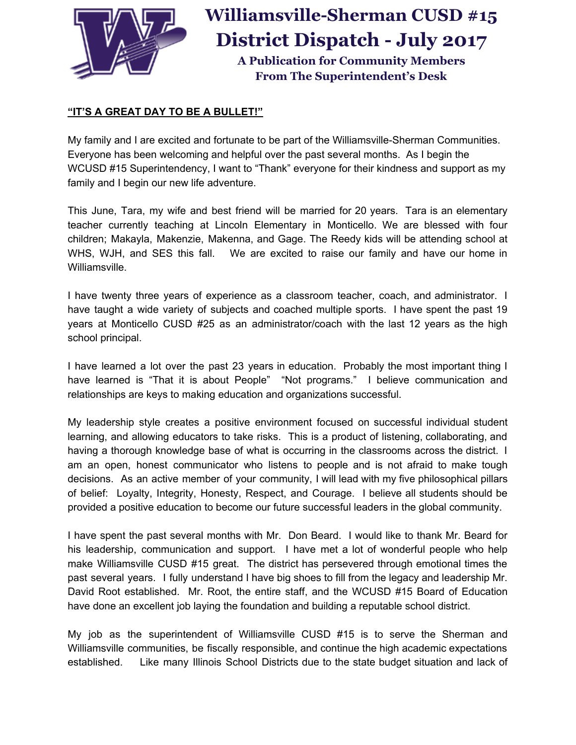

## **Williamsville-Sherman CUSD #15 District Dispatch - July 2017**

**A Publication for Community Members From The Superintendent's Desk**

## **"IT'S A GREAT DAY TO BE A BULLET!"**

My family and I are excited and fortunate to be part of the Williamsville-Sherman Communities. Everyone has been welcoming and helpful over the past several months. As I begin the WCUSD #15 Superintendency, I want to "Thank" everyone for their kindness and support as my family and I begin our new life adventure.

This June, Tara, my wife and best friend will be married for 20 years. Tara is an elementary teacher currently teaching at Lincoln Elementary in Monticello. We are blessed with four children; Makayla, Makenzie, Makenna, and Gage. The Reedy kids will be attending school at WHS, WJH, and SES this fall. We are excited to raise our family and have our home in Williamsville.

I have twenty three years of experience as a classroom teacher, coach, and administrator. I have taught a wide variety of subjects and coached multiple sports. I have spent the past 19 years at Monticello CUSD #25 as an administrator/coach with the last 12 years as the high school principal.

I have learned a lot over the past 23 years in education. Probably the most important thing I have learned is "That it is about People" "Not programs." I believe communication and relationships are keys to making education and organizations successful.

My leadership style creates a positive environment focused on successful individual student learning, and allowing educators to take risks. This is a product of listening, collaborating, and having a thorough knowledge base of what is occurring in the classrooms across the district. I am an open, honest communicator who listens to people and is not afraid to make tough decisions. As an active member of your community, I will lead with my five philosophical pillars of belief: Loyalty, Integrity, Honesty, Respect, and Courage. I believe all students should be provided a positive education to become our future successful leaders in the global community.

I have spent the past several months with Mr. Don Beard. I would like to thank Mr. Beard for his leadership, communication and support. I have met a lot of wonderful people who help make Williamsville CUSD #15 great. The district has persevered through emotional times the past several years. I fully understand I have big shoes to fill from the legacy and leadership Mr. David Root established. Mr. Root, the entire staff, and the WCUSD #15 Board of Education have done an excellent job laying the foundation and building a reputable school district.

My job as the superintendent of Williamsville CUSD #15 is to serve the Sherman and Williamsville communities, be fiscally responsible, and continue the high academic expectations established. Like many Illinois School Districts due to the state budget situation and lack of